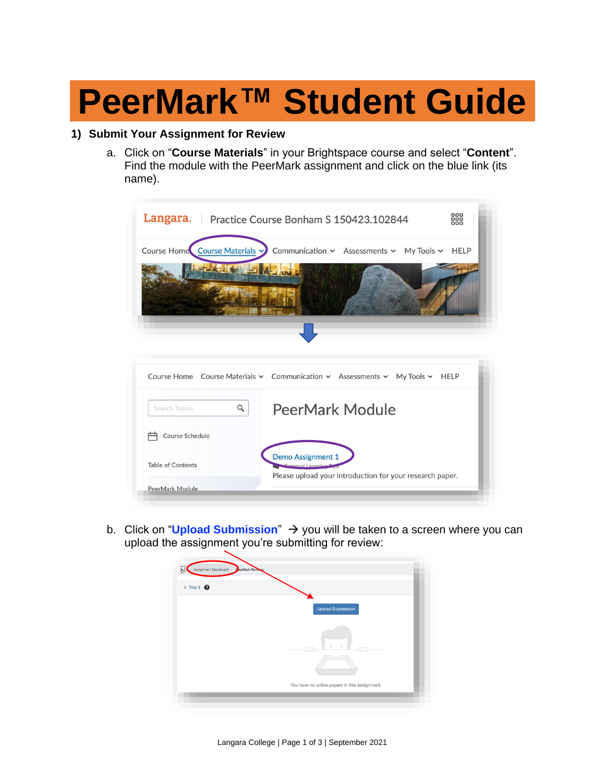# **PeerMark™ Student Guide**

## **1) Submit Your Assignment for Review**

a. Click on "**Course Materials**" in your Brightspace course and select "**Content**". Find the module with the PeerMark assignment and click on the blue link (its name).

|                                | Langara. Practice Course Bonham S 150423.102844                                                             | 888         |
|--------------------------------|-------------------------------------------------------------------------------------------------------------|-------------|
| Course Home Course Materials v | Communication v Assessments v My Tools v                                                                    | <b>HELP</b> |
|                                |                                                                                                             |             |
|                                | Course Home Course Materials v Communication v Assessments v My Tools v HELP                                |             |
| Q<br>Search Topics             | PeerMark Module                                                                                             |             |
| Course Schedule                |                                                                                                             |             |
| <b>Table of Contents</b>       | <b>Demo Assignment 1</b><br>External Learning T<br>Please upload your introduction for your research paper. |             |
|                                |                                                                                                             |             |

b. Click on "**Upload Submission**" → you will be taken to a screen where you can upload the assignment you're submitting for review:

| Assignment Dashboard            | <b>PeerMark Reviews</b>                       |
|---------------------------------|-----------------------------------------------|
| $\rightarrow$ Trial 3 $\bullet$ |                                               |
|                                 |                                               |
|                                 | <b>Upload Submission</b>                      |
|                                 |                                               |
|                                 |                                               |
|                                 | ann<br>-AM                                    |
|                                 |                                               |
|                                 |                                               |
|                                 | You have no active papers in this assignment. |
|                                 |                                               |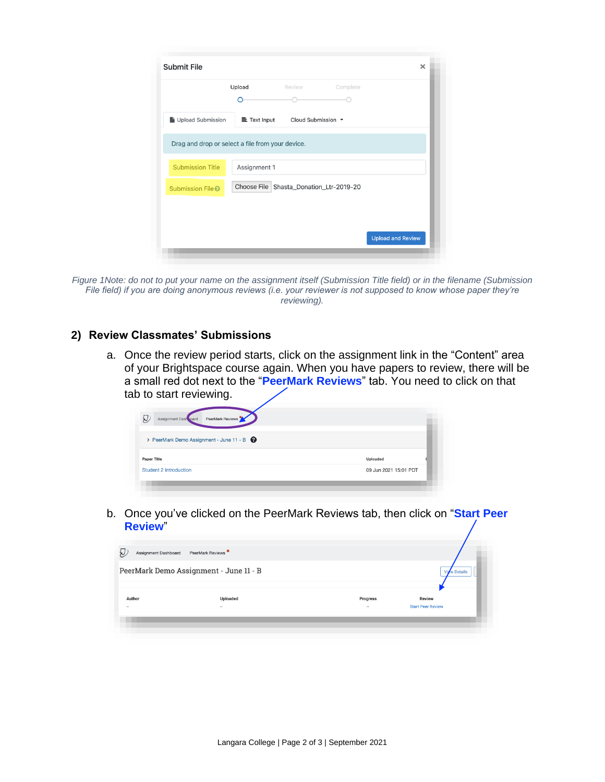| <b>Submit File</b>                               |              |                                         |          | ×                        |
|--------------------------------------------------|--------------|-----------------------------------------|----------|--------------------------|
|                                                  | Upload       | Review                                  | Complete |                          |
| Upload Submission                                | 三 Text Input | Cloud Submission $\sim$                 |          |                          |
| Drag and drop or select a file from your device. |              |                                         |          |                          |
| <b>Submission Title</b>                          | Assignment 1 |                                         |          |                          |
| Submission File <sup>2</sup>                     |              | Choose File Shasta_Donation_Ltr-2019-20 |          |                          |
|                                                  |              |                                         |          |                          |
|                                                  |              |                                         |          | <b>Upload and Review</b> |
|                                                  |              |                                         |          |                          |

*Figure 1Note: do not to put your name on the assignment itself (Submission Title field) or in the filename (Submission File field) if you are doing anonymous reviews (i.e. your reviewer is not supposed to know whose paper they're reviewing).*

#### **2) Review Classmates' Submissions**

a. Once the review period starts, click on the assignment link in the "Content" area of your Brightspace course again. When you have papers to review, there will be a small red dot next to the "**PeerMark Reviews**" tab. You need to click on that tab to start reviewing.

| Q<br>PeerMark Reviews<br>Assignment Dash pard |                       |
|-----------------------------------------------|-----------------------|
| > PeerMark Demo Assignment - June 11 - B      |                       |
| <b>Paper Title</b>                            | Uploaded              |
| <b>Student 2 Introduction</b>                 | 09 Jun 2021 15:01 PDT |

b. Once you've clicked on the PeerMark Reviews tab, then click on "**Start Peer Review**"